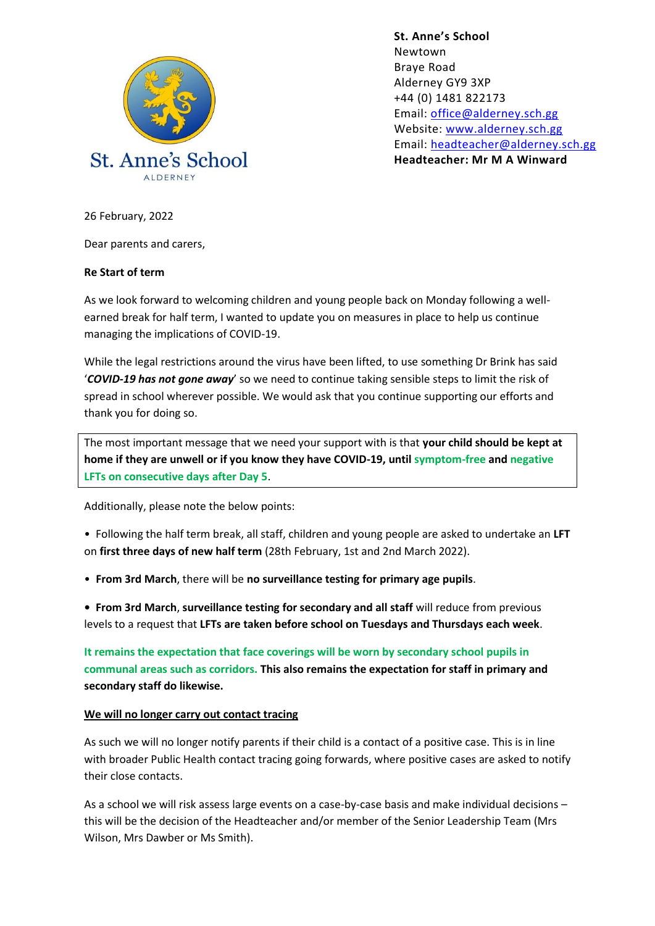

**St. Anne's School**  Newtown Braye Road Alderney GY9 3XP +44 (0) 1481 822173 Email: [office@alderney.sch.gg](mailto:office@alderney.sch.gg) Website: [www.alderney.sch.gg](http://www.alderney.sch.gg/) Email: [headteacher@alderney.sch.gg](mailto:headteacher@alderney.sch.gg) **Headteacher: Mr M A Winward**

26 February, 2022

Dear parents and carers,

## **Re Start of term**

As we look forward to welcoming children and young people back on Monday following a wellearned break for half term, I wanted to update you on measures in place to help us continue managing the implications of COVID-19.

While the legal restrictions around the virus have been lifted, to use something Dr Brink has said '*COVID-19 has not gone away*' so we need to continue taking sensible steps to limit the risk of spread in school wherever possible. We would ask that you continue supporting our efforts and thank you for doing so.

The most important message that we need your support with is that **your child should be kept at home if they are unwell or if you know they have COVID-19, until symptom-free and negative LFTs on consecutive days after Day 5**.

Additionally, please note the below points:

• Following the half term break, all staff, children and young people are asked to undertake an **LFT**  on **first three days of new half term** (28th February, 1st and 2nd March 2022).

• **From 3rd March**, there will be **no surveillance testing for primary age pupils**.

**• From 3rd March**, **surveillance testing for secondary and all staff** will reduce from previous levels to a request that **LFTs are taken before school on Tuesdays and Thursdays each week**.

**It remains the expectation that face coverings will be worn by secondary school pupils in communal areas such as corridors. This also remains the expectation for staff in primary and secondary staff do likewise.**

## **We will no longer carry out contact tracing**

As such we will no longer notify parents if their child is a contact of a positive case. This is in line with broader Public Health contact tracing going forwards, where positive cases are asked to notify their close contacts.

As a school we will risk assess large events on a case-by-case basis and make individual decisions – this will be the decision of the Headteacher and/or member of the Senior Leadership Team (Mrs Wilson, Mrs Dawber or Ms Smith).